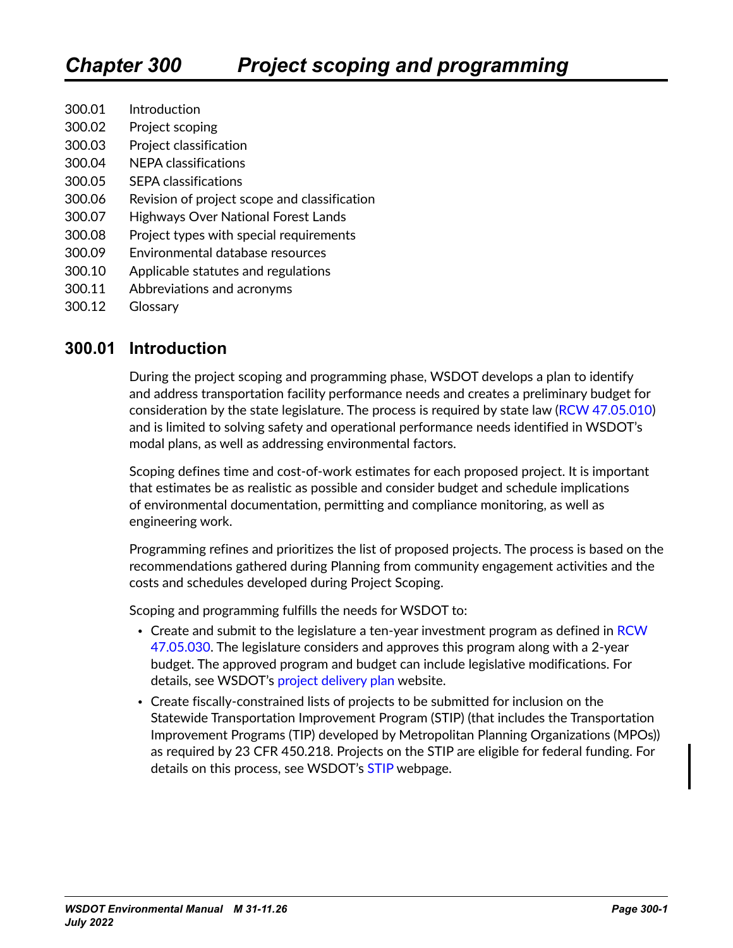- 300.01 Introduction
- 300.02 [Project scoping](#page-1-0)
- 300.03 [Project classification](#page-2-0)
- 300.04 [NEPA classifications](#page-3-0)
- 300.05 [SEPA classifications](#page-4-0)
- 300.06 [Revision of project scope and classification](#page-5-0)
- 300.07 [Highways Over National Forest Lands](#page-5-0)
- 300.08 [Project types with special requirements](#page-6-0)
- 300.09 [Environmental database resources](#page-11-0)
- 300.10 [Applicable statutes and regulations](#page-12-0)
- 300.11 [Abbreviations and acronyms](#page-12-0)
- 300.12 [Glossary](#page-12-0)

### **300.01 Introduction**

During the project scoping and programming phase, WSDOT develops a plan to identify and address transportation facility performance needs and creates a preliminary budget for consideration by the state legislature. The process is required by state law ([RCW 47.05.010\)](http://apps.leg.wa.gov/RCW/default.aspx?cite=47.05.010) and is limited to solving safety and operational performance needs identified in WSDOT's modal plans, as well as addressing environmental factors.

Scoping defines time and cost-of-work estimates for each proposed project. It is important that estimates be as realistic as possible and consider budget and schedule implications of environmental documentation, permitting and compliance monitoring, as well as engineering work.

Programming refines and prioritizes the list of proposed projects. The process is based on the recommendations gathered during Planning from community engagement activities and the costs and schedules developed during Project Scoping.

Scoping and programming fulfills the needs for WSDOT to:

- Create and submit to the legislature a ten-year investment program as defined in RCW [47.05.030.](https://app.leg.wa.gov/RCW/default.aspx?cite=47.05.030) The legislature considers and approves this program along with a 2-year budget. The approved program and budget can include legislative modifications. For details, see WSDOT's [project delivery plan](https://wsdot.wa.gov/construction-planning/statewide-plans/project-delivery-plan) website.
- Create fiscally-constrained lists of projects to be submitted for inclusion on the Statewide Transportation Improvement Program (STIP) (that includes the Transportation Improvement Programs (TIP) developed by Metropolitan Planning Organizations (MPOs)) as required by [23 CFR 450.218](https://www.ecfr.gov/current/title-23/chapter-I/subchapter-E/part-450/subpart-B/section-450.218). Projects on the STIP are eligible for federal funding. For details on this process, see WSDOT's [STIP](https://wsdot.wa.gov/business-wsdot/support-local-programs/delivering-your-project/statewide-transportation-improvement-program-stip) webpage.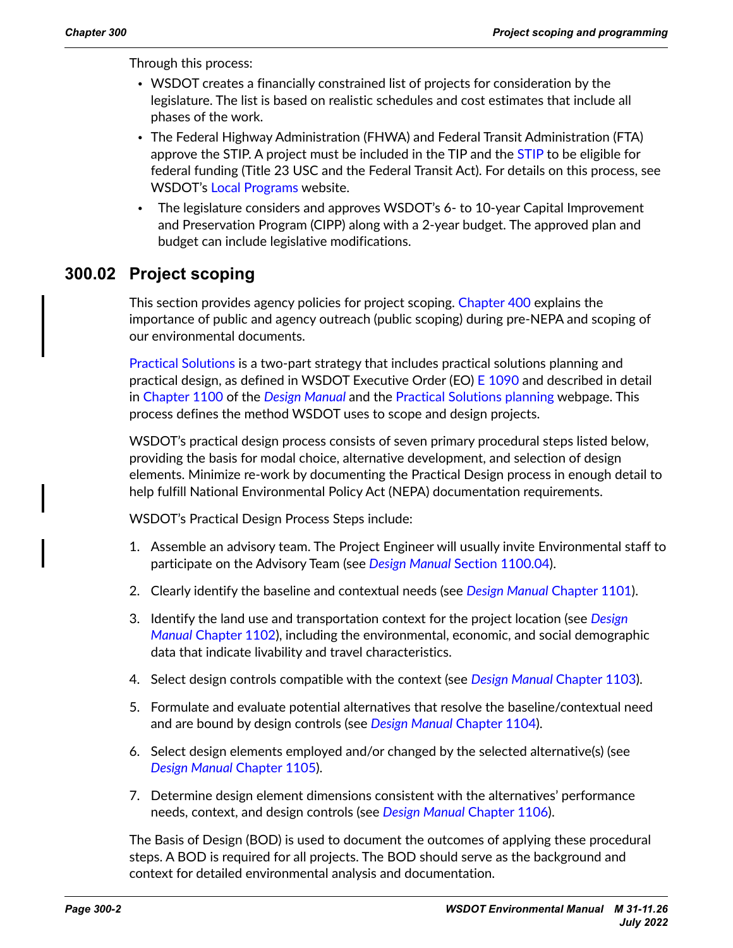<span id="page-1-0"></span>Through this process:

- WSDOT creates a financially constrained list of projects for consideration by the legislature. The list is based on realistic schedules and cost estimates that include all phases of the work.
- The Federal Highway Administration (FHWA) and Federal Transit Administration (FTA) approve the [STIP](https://wsdot.wa.gov/business-wsdot/support-local-programs/delivering-your-project/statewide-transportation-improvement-program-stip). A project must be included in the TIP and the STIP to be eligible for federal funding (Title 23 USC and the Federal Transit Act). For details on this process, see WSDOT's [Local Programs](http://www.wsdot.wa.gov/LocalPrograms/) website.
- The legislature considers and approves WSDOT's 6- to 10-year Capital Improvement and Preservation Program (CIPP) along with a 2-year budget. The approved plan and budget can include legislative modifications.

## **300.02 Project scoping**

This section provides agency policies for project scoping. Chapter 400 explains the importance of public and agency outreach (public scoping) during pre-NEPA and scoping of our environmental documents.

[Practical Solutions](https://www.wsdot.wa.gov/about/practical-solutions) is a two-part strategy that includes practical solutions planning and practical design, as defined in WSDOT Executive Order (EO) [E 1090](http://wwwi.wsdot.wa.gov/publications/policies/fulltext/1090.pdf) and described in detail in [Chapter 1100](https://www.wsdot.wa.gov/publications/manuals/fulltext/M22-01/1100.pdf) of the *[Design Manual](https://wsdot.wa.gov/engineering-standards/all-manuals-and-standards/manuals/design-manual)* and the [Practical Solutions planning](http://www.wsdot.wa.gov/about/practical-solutions/planning) webpage. This process defines the method WSDOT uses to scope and design projects.

WSDOT's practical design process consists of seven primary procedural steps listed below, providing the basis for modal choice, alternative development, and selection of design elements. Minimize re-work by documenting the Practical Design process in enough detail to help fulfill National Environmental Policy Act (NEPA) documentation requirements.

WSDOT's Practical Design Process Steps include:

- 1. Assemble an advisory team. The Project Engineer will usually invite Environmental staff to participate on the Advisory Team (see *[Design Manual](https://wsdot.wa.gov/engineering-standards/all-manuals-and-standards/manuals/design-manual)* [Section 1100.04](https://www.wsdot.wa.gov/publications/manuals/fulltext/M22-01/1100.pdf)).
- 2. Clearly identify the baseline and contextual needs (see *[Design Manual](https://wsdot.wa.gov/engineering-standards/all-manuals-and-standards/manuals/design-manual)* [Chapter 1101\)](https://www.wsdot.wa.gov/publications/manuals/fulltext/M22-01/1101.pdf).
- 3. Identify the land use and transportation context for the project location (see *[Design](https://wsdot.wa.gov/engineering-standards/all-manuals-and-standards/manuals/design-manual)  [Manual](https://wsdot.wa.gov/engineering-standards/all-manuals-and-standards/manuals/design-manual)* [Chapter 1102](http://www.wsdot.wa.gov/publications/manuals/fulltext/M22-01/1102.pdf)), including the environmental, economic, and social demographic data that indicate livability and travel characteristics.
- 4. Select design controls compatible with the context (see *[Design Manual](https://wsdot.wa.gov/engineering-standards/all-manuals-and-standards/manuals/design-manual)* [Chapter 1103](https://www.wsdot.wa.gov/publications/manuals/fulltext/M22-01/1103.pdf)).
- 5. Formulate and evaluate potential alternatives that resolve the baseline/contextual need and are bound by design controls (see *[Design Manual](https://wsdot.wa.gov/engineering-standards/all-manuals-and-standards/manuals/design-manual)* [Chapter 1104\)](https://www.wsdot.wa.gov/publications/manuals/fulltext/M22-01/1104.pdf).
- 6. Select design elements employed and/or changed by the selected alternative(s) (see *[Design Manual](https://wsdot.wa.gov/engineering-standards/all-manuals-and-standards/manuals/design-manual)* [Chapter 1105](https://www.wsdot.wa.gov/publications/manuals/fulltext/M22-01/1105.pdf)).
- 7. Determine design element dimensions consistent with the alternatives' performance needs, context, and design controls (see *[Design Manual](https://wsdot.wa.gov/engineering-standards/all-manuals-and-standards/manuals/design-manual)* [Chapter 1106](https://www.wsdot.wa.gov/publications/manuals/fulltext/M22-01/1106.pdf)).

The Basis of Design (BOD) is used to document the outcomes of applying these procedural steps. A BOD is required for all projects. The BOD should serve as the background and context for detailed environmental analysis and documentation.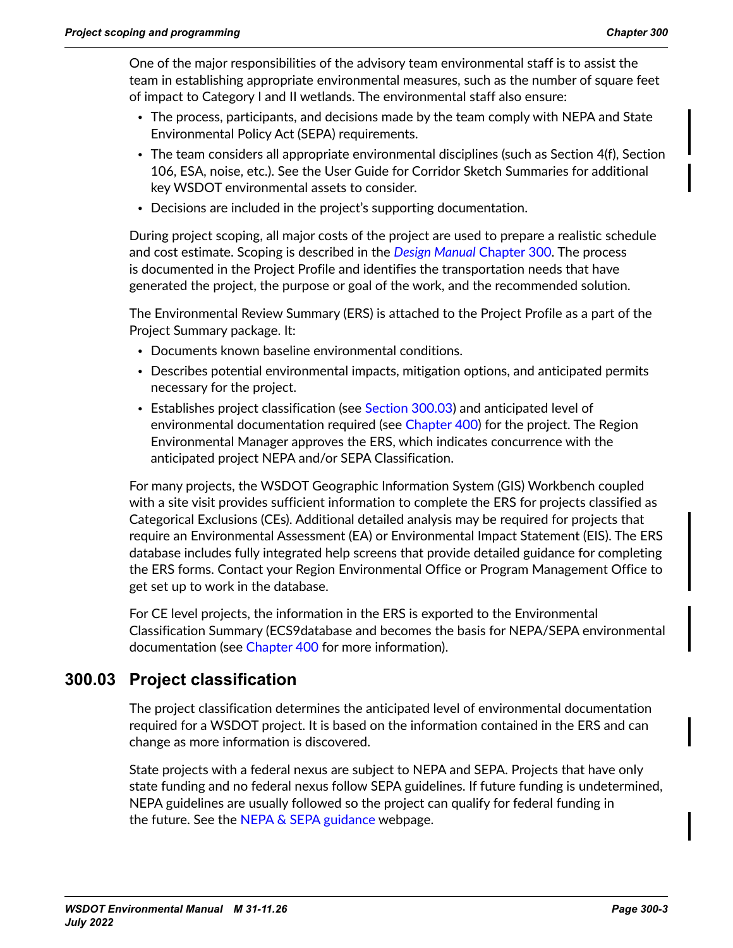<span id="page-2-0"></span>One of the major responsibilities of the advisory team environmental staff is to assist the team in establishing appropriate environmental measures, such as the number of square feet of impact to Category I and II wetlands. The environmental staff also ensure:

- The process, participants, and decisions made by the team comply with NEPA and State Environmental Policy Act (SEPA) requirements.
- The team considers all appropriate environmental disciplines (such as Section 4(f), Section 106, ESA, noise, etc.). See the [User Guide](https://wsdot.wa.gov/sites/default/files/2021-10/CSS-UserGuide.pdf) for Corridor Sketch Summaries for additional key WSDOT environmental assets to consider.
- Decisions are included in the project's supporting documentation.

During project scoping, all major costs of the project are used to prepare a realistic schedule and cost estimate. Scoping is described in the *[Design Manual](https://wsdot.wa.gov/engineering-standards/all-manuals-and-standards/manuals/design-manual)* [Chapter 300.](https://www.wsdot.wa.gov/publications/manuals/fulltext/M22-01/300.pdf) The process is documented in the Project Profile and identifies the transportation needs that have generated the project, the purpose or goal of the work, and the recommended solution.

The Environmental Review Summary (ERS) is attached to the Project Profile as a part of the Project Summary package. It:

- Documents known baseline environmental conditions.
- Describes potential environmental impacts, mitigation options, and anticipated permits necessary for the project.
- Establishes project classification (see [Section 300.03](#page-2-1)) and anticipated level of environmental documentation required (see Chapter 400) for the project. The Region Environmental Manager approves the ERS, which indicates concurrence with the anticipated project NEPA and/or SEPA Classification.

For many projects, the WSDOT Geographic Information System (GIS) Workbench coupled with a site visit provides sufficient information to complete the ERS for projects classified as Categorical Exclusions (CEs). Additional detailed analysis may be required for projects that require an Environmental Assessment (EA) or Environmental Impact Statement (EIS). The ERS database includes fully integrated help screens that provide detailed guidance for completing the ERS forms. Contact your Region Environmental Office or Program Management Office to get set up to work in the database.

For CE level projects, the information in the ERS is exported to the Environmental Classification Summary (ECS9database and becomes the basis for NEPA/SEPA environmental documentation (see Chapter 400 for more information).

## **300.03 Project classification**

<span id="page-2-1"></span>The project classification determines the anticipated level of environmental documentation required for a WSDOT project. It is based on the information contained in the ERS and can change as more information is discovered.

State projects with a federal nexus are subject to NEPA and SEPA. Projects that have only state funding and no federal nexus follow SEPA guidelines. If future funding is undetermined, NEPA guidelines are usually followed so the project can qualify for federal funding in the future. See the NEPA  $\&$  SEPA guidance webpage.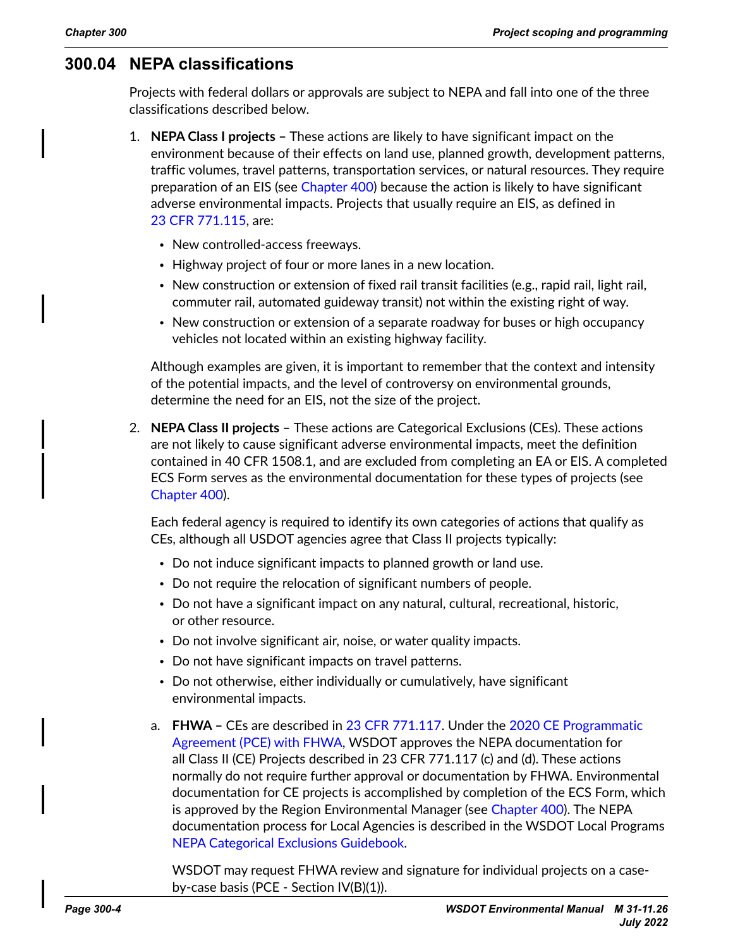### <span id="page-3-0"></span>**300.04 NEPA classifications**

<span id="page-3-1"></span>Projects with federal dollars or approvals are subject to NEPA and fall into one of the three classifications described below.

- 1. **NEPA Class I projects** These actions are likely to have significant impact on the environment because of their effects on land use, planned growth, development patterns, traffic volumes, travel patterns, transportation services, or natural resources. They require preparation of an EIS (see Chapter 400) because the action is likely to have significant adverse environmental impacts. Projects that usually require an EIS, as defined in 23 CFR 771.115, are:
	- New controlled-access freeways.
	- Highway project of four or more lanes in a new location.
	- New construction or extension of fixed rail transit facilities (e.g., rapid rail, light rail, commuter rail, automated guideway transit) not within the existing right of way.
	- New construction or extension of a separate roadway for buses or high occupancy vehicles not located within an existing highway facility.

Although examples are given, it is important to remember that the context and intensity of the potential impacts, and the level of controversy on environmental grounds, determine the need for an EIS, not the size of the project.

2. **NEPA Class II projects –** These actions are Categorical Exclusions (CEs). These actions are not likely to cause significant adverse environmental impacts, meet the definition contained in [40 CFR 1508.1](https://www.ecfr.gov/current/title-40/chapter-V/subchapter-A/part-1508/section-1508.1), and are excluded from completing an EA or EIS. A completed ECS Form serves as the environmental documentation for these types of projects (see Chapter 400).

Each federal agency is required to identify its own categories of actions that qualify as CEs, although all USDOT agencies agree that Class II projects typically:

- Do not induce significant impacts to planned growth or land use.
- Do not require the relocation of significant numbers of people.
- Do not have a significant impact on any natural, cultural, recreational, historic, or other resource.
- Do not involve significant air, noise, or water quality impacts.
- Do not have significant impacts on travel patterns.
- Do not otherwise, either individually or cumulatively, have significant environmental impacts.
- a. **FHWA –** CEs are described in [23 CFR 771.117.](https://www.ecfr.gov/current/title-23/chapter-I/subchapter-H/part-771/section-771.117) Under the [2020 CE Programmatic](https://wsdot.wa.gov/sites/default/files/2021-10/Env-NSepa-CEProgramAgreement.pdf)  [Agreement \(PCE\) with FHWA](https://wsdot.wa.gov/sites/default/files/2021-10/Env-NSepa-CEProgramAgreement.pdf), WSDOT approves the NEPA documentation for all Class II (CE) Projects described in 23 CFR 771.117 (c) and (d). These actions normally do not require further approval or documentation by FHWA. Environmental documentation for CE projects is accomplished by completion of the ECS Form, which is approved by the Region Environmental Manager (see Chapter 400). The NEPA documentation process for Local Agencies is described in the WSDOT Local Programs [NEPA Categorical Exclusions Guidebook.](https://wsdot.wa.gov/sites/default/files/2021-10/LP_CE-Guidebook-Secure.pdf)

WSDOT may request FHWA review and signature for individual projects on a caseby-case basis (PCE - Section IV(B)(1)).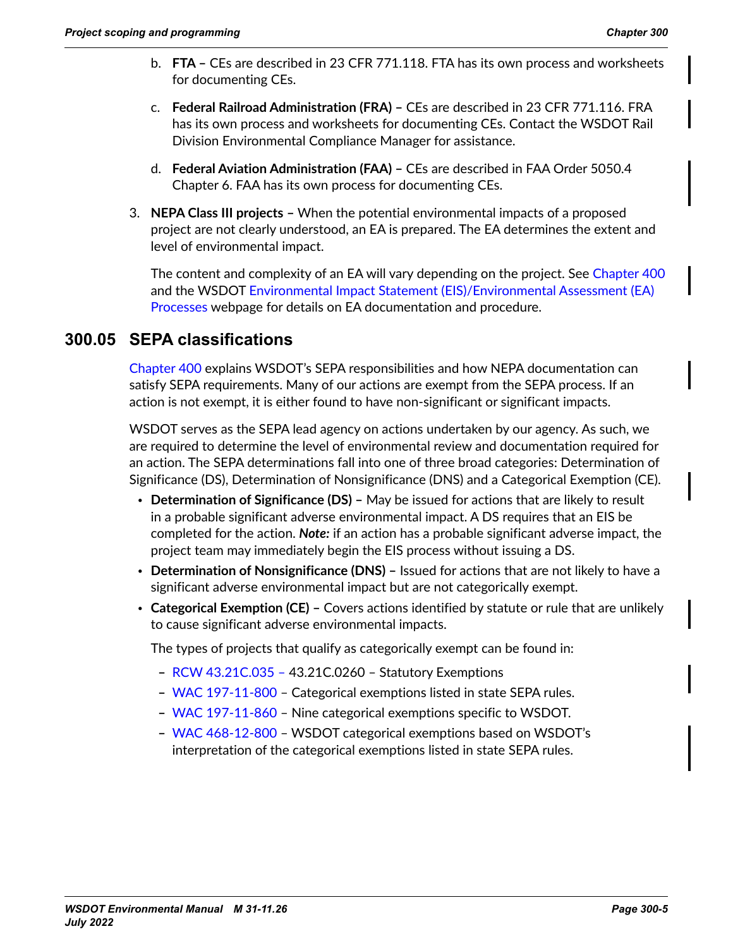- <span id="page-4-0"></span>b. **FTA –** CEs are described in [23 CFR 771.118](https://www.ecfr.gov/current/title-23/chapter-I/subchapter-H/part-771/section-771.118). FTA has its own process and worksheets for documenting CEs.
- c. **Federal Railroad Administration (FRA) –** CEs are described in [23 CFR 771.116](https://www.ecfr.gov/current/title-23/chapter-I/subchapter-H/part-771/section-771.116). FRA has its own process and worksheets for documenting CEs. Contact the WSDOT Rail Division Environmental Compliance Manager for assistance.
- d. **Federal Aviation Administration (FAA)** CEs are described in [FAA Order 5050.4](https://www.faa.gov/airports/resources/publications/orders/environmental_5050_4/media/chapter6.pdf) [Chapter 6.](https://www.faa.gov/airports/resources/publications/orders/environmental_5050_4/media/chapter6.pdf) [FAA](https://www.faa.gov/airports/resources/sops/media/arp-SOP-510-catex-documentation.docx) has its own process for documenting CEs.
- 3. **NEPA Class III projects –** When the potential environmental impacts of a proposed project are not clearly understood, an EA is prepared. The EA determines the extent and level of environmental impact.

The content and complexity of an EA will vary depending on the project. See Chapter 400 and the WSDOT [Environmental Impact Statement \(EIS\)/Environmental Assessment \(EA\)](https://wsdot.wa.gov/engineering-standards/design-topics/environment/nepa-sepa-guidance/environmental-impact-statement-eisenvironmental-assessment-ea-processes)  [Processes](https://wsdot.wa.gov/engineering-standards/design-topics/environment/nepa-sepa-guidance/environmental-impact-statement-eisenvironmental-assessment-ea-processes) webpage for details on EA documentation and procedure.

### **300.05 SEPA classifications**

<span id="page-4-1"></span>Chapter 400 explains WSDOT's SEPA responsibilities and how NEPA documentation can satisfy SEPA requirements. Many of our actions are exempt from the SEPA process. If an action is not exempt, it is either found to have non-significant or significant impacts.

WSDOT serves as the SEPA lead agency on actions undertaken by our agency. As such, we are required to determine the level of environmental review and documentation required for an action. The SEPA determinations fall into one of three broad categories: Determination of Significance (DS), Determination of Nonsignificance (DNS) and a Categorical Exemption (CE).

- **Determination of Significance (DS) –** May be issued for actions that are likely to result in a probable significant adverse environmental impact. A DS requires that an EIS be completed for the action. *Note:* if an action has a probable significant adverse impact, the project team may immediately begin the EIS process without issuing a DS.
- **Determination of Nonsignificance (DNS) –** Issued for actions that are not likely to have a significant adverse environmental impact but are not categorically exempt.
- **Categorical Exemption (CE) –** Covers actions identified by statute or rule that are unlikely to cause significant adverse environmental impacts.

The types of projects that qualify as categorically exempt can be found in:

- **–** [RCW 43.21C.035 43.21C.0260](https://apps.leg.wa.gov/rcw/default.aspx?cite=43.21c) Statutory Exemptions
- **–** [WAC 197-11-800](http://apps.leg.wa.gov/WAC/default.aspx?cite=197-11-800)  Categorical exemptions listed in state SEPA rules.
- **–** [WAC 197-11-860](http://apps.leg.wa.gov/WAC/default.aspx?cite=197-11-860)  Nine categorical exemptions specific to WSDOT.
- **–** [WAC 468-12-800](http://apps.leg.wa.gov/WAC/default.aspx?cite=468-12-800)  WSDOT categorical exemptions based on WSDOT's interpretation of the categorical exemptions listed in state SEPA rules.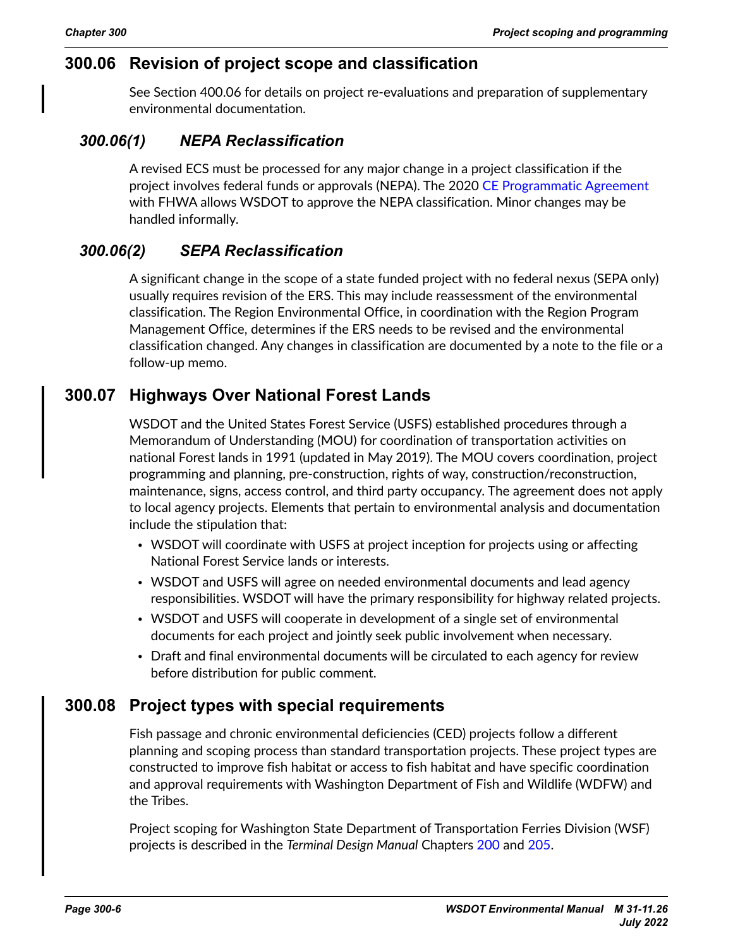## <span id="page-5-0"></span>**300.06 Revision of project scope and classification**

See Section 400.06 for details on project re-evaluations and preparation of supplementary environmental documentation.

### *300.06(1) NEPA Reclassification*

A revised ECS must be processed for any major change in a project classification if the project involves federal funds or approvals (NEPA). The 2020 [CE Programmatic Agreement](https://wsdot.wa.gov/sites/default/files/2021-10/Env-NSepa-CEProgramAgreement.pdf) with FHWA allows WSDOT to approve the NEPA classification. Minor changes may be handled informally.

### *300.06(2) SEPA Reclassification*

A significant change in the scope of a state funded project with no federal nexus (SEPA only) usually requires revision of the ERS. This may include reassessment of the environmental classification. The Region Environmental Office, in coordination with the Region Program Management Office, determines if the ERS needs to be revised and the environmental classification changed. Any changes in classification are documented by a note to the file or a follow-up memo.

## **300.07 Highways Over National Forest Lands**

WSDOT and the United States Forest Service (USFS) established procedures through a [Memorandum of Understanding](https://wsdot.wa.gov/engineering-standards/all-manuals-and-standards/manuals/highways-over-national-forest-lands?msclkid=b9ec9e86b14d11ecbb57284cd404ad9d) (MOU) for coordination of transportation activities on national Forest lands in 1991 (updated in May 2019). The [MOU](https://wsdot.wa.gov/engineering-standards/all-manuals-and-standards/manuals/highways-over-national-forest-lands?msclkid=b9ec9e86b14d11ecbb57284cd404ad9d) covers coordination, project programming and planning, pre-construction, rights of way, construction/reconstruction, maintenance, signs, access control, and third party occupancy. The agreement does not apply to local agency projects. Elements that pertain to environmental analysis and documentation include the stipulation that:

- WSDOT will coordinate with USFS at project inception for projects using or affecting National Forest Service lands or interests.
- WSDOT and USFS will agree on needed environmental documents and lead agency responsibilities. WSDOT will have the primary responsibility for highway related projects.
- WSDOT and USFS will cooperate in development of a single set of environmental documents for each project and jointly seek public involvement when necessary.
- Draft and final environmental documents will be circulated to each agency for review before distribution for public comment.

### **300.08 Project types with special requirements**

Fish passage and chronic environmental deficiencies (CED) projects follow a different planning and scoping process than standard transportation projects. These project types are constructed to improve fish habitat or access to fish habitat and have specific coordination and approval requirements with Washington Department of Fish and Wildlife (WDFW) and the Tribes.

Project scoping for Washington State Department of Transportation Ferries Division (WSF) projects is described in the *Terminal Design Manual* Chapters [200](https://www.wsdot.wa.gov/publications/manuals/fulltext/M3082/200.pdf) and [205](https://www.wsdot.wa.gov/publications/manuals/fulltext/M3082/205.pdf).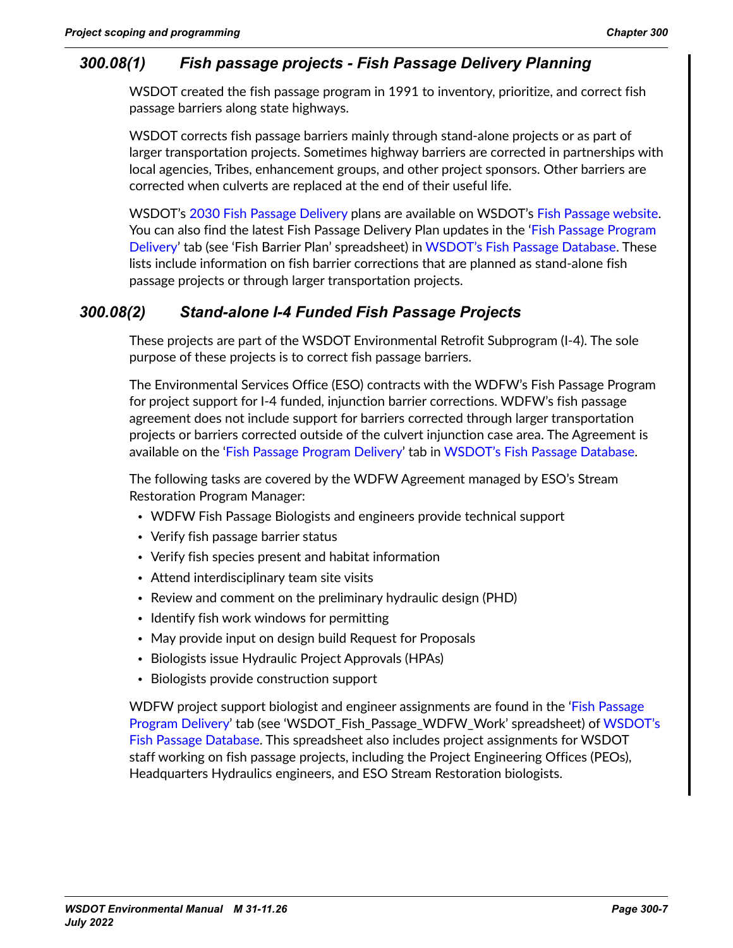### <span id="page-6-0"></span>*300.08(1) Fish passage projects - Fish Passage Delivery Planning*

WSDOT created the fish passage program in 1991 to inventory, prioritize, and correct fish passage barriers along state highways.

WSDOT corrects fish passage barriers mainly through stand-alone projects or as part of larger transportation projects. Sometimes highway barriers are corrected in partnerships with local agencies, Tribes, enhancement groups, and other project sponsors. Other barriers are corrected when culverts are replaced at the end of their useful life.

WSDOT's [2030 Fish Passage Delivery](https://wsdot.wa.gov/construction-planning/protecting-environment/fish-passage/2030-fish-passage-project-delivery-plans) plans are available on WSDOT's [Fish Passage website.](https://wsdot.wa.gov/construction-planning/protecting-environment/fish-passage?msclkid=85c959b3b14711ec9d7a1cd7ce7324fb) You can also find the latest Fish Passage Delivery Plan updates in the '[Fish Passage Program](http://webapps.wsdot.loc/Environmental/Biology/FishPassage/Prioritization)  [Delivery](http://webapps.wsdot.loc/Environmental/Biology/FishPassage/Prioritization)' tab (see 'Fish Barrier Plan' spreadsheet) in [WSDOT's Fish Passage Database.](http://webapps.wsdot.loc/Environmental/Biology/FishPassage/) These lists include information on fish barrier corrections that are planned as stand-alone fish passage projects or through larger transportation projects.

### *300.08(2) Stand-alone I-4 Funded Fish Passage Projects*

These projects are part of the WSDOT Environmental Retrofit Subprogram (I-4). The sole purpose of these projects is to correct fish passage barriers.

The Environmental Services Office (ESO) contracts with the WDFW's Fish Passage Program for project support for I-4 funded, injunction barrier corrections. WDFW's fish passage agreement does not include support for barriers corrected through larger transportation projects or barriers corrected outside of the culvert injunction case area. The Agreement is available on the '[Fish Passage Program Delivery](http://webapps.wsdot.loc/Environmental/Biology/FishPassage/Prioritization)' tab in [WSDOT's Fish Passage Database](http://webapps.wsdot.loc/Environmental/Biology/FishPassage/).

The following tasks are covered by the WDFW Agreement managed by ESO's Stream Restoration Program Manager:

- WDFW Fish Passage Biologists and engineers provide technical support
- Verify fish passage barrier status
- Verify fish species present and habitat information
- Attend interdisciplinary team site visits
- Review and comment on the preliminary hydraulic design (PHD)
- Identify fish work windows for permitting
- May provide input on design build Request for Proposals
- Biologists issue Hydraulic Project Approvals (HPAs)
- Biologists provide construction support

WDFW project support biologist and engineer assignments are found in the ['Fish Passage](http://webapps.wsdot.loc/Environmental/Biology/FishPassage/Prioritization)  [Program Delivery'](http://webapps.wsdot.loc/Environmental/Biology/FishPassage/Prioritization) tab (see 'WSDOT\_Fish\_Passage\_WDFW\_Work' spreadsheet) of [WSDOT's](http://webapps.wsdot.loc/Environmental/Biology/FishPassage/)  [Fish Passage Database.](http://webapps.wsdot.loc/Environmental/Biology/FishPassage/) This spreadsheet also includes project assignments for WSDOT staff working on fish passage projects, including the Project Engineering Offices (PEOs), Headquarters Hydraulics engineers, and ESO Stream Restoration biologists.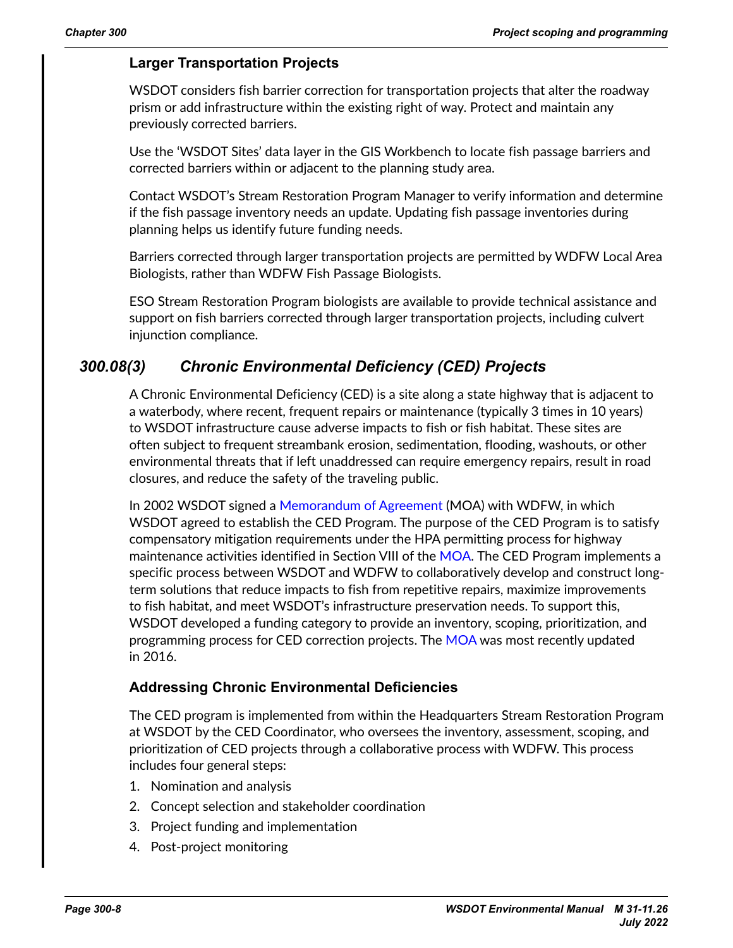#### **Larger Transportation Projects**

WSDOT considers fish barrier correction for transportation projects that alter the roadway prism or add infrastructure within the existing right of way. Protect and maintain any previously corrected barriers.

Use the 'WSDOT Sites' data layer in the GIS Workbench to locate fish passage barriers and corrected barriers within or adjacent to the planning study area.

Contact WSDOT's Stream Restoration Program Manager to verify information and determine if the fish passage inventory needs an update. Updating fish passage inventories during planning helps us identify future funding needs.

Barriers corrected through larger transportation projects are permitted by WDFW Local Area Biologists, rather than WDFW Fish Passage Biologists.

ESO Stream Restoration Program biologists are available to provide technical assistance and support on fish barriers corrected through larger transportation projects, including culvert injunction compliance.

### *300.08(3) Chronic Environmental Deficiency (CED) Projects*

A Chronic Environmental Deficiency (CED) is a site along a state highway that is adjacent to a waterbody, where recent, frequent repairs or maintenance (typically 3 times in 10 years) to WSDOT infrastructure cause adverse impacts to fish or fish habitat. These sites are often subject to frequent streambank erosion, sedimentation, flooding, washouts, or other environmental threats that if left unaddressed can require emergency repairs, result in road closures, and reduce the safety of the traveling public.

In 2002 WSDOT signed a [Memorandum of Agreement](https://www.wsdot.wa.gov/publications/manuals/fulltext/M31-11/agreements/WDFWWSDOTMOA.pdf) (MOA) with WDFW, in which WSDOT agreed to establish the CED Program. The purpose of the CED Program is to satisfy compensatory mitigation requirements under the HPA permitting process for highway maintenance activities identified in Section VIII of the [MOA.](https://www.wsdot.wa.gov/publications/manuals/fulltext/M31-11/agreements/WDFWWSDOTMOA.pdf) The CED Program implements a specific process between WSDOT and WDFW to collaboratively develop and construct longterm solutions that reduce impacts to fish from repetitive repairs, maximize improvements to fish habitat, and meet WSDOT's infrastructure preservation needs. To support this, WSDOT developed a funding category to provide an inventory, scoping, prioritization, and programming process for CED correction projects. The [MOA](https://www.wsdot.wa.gov/publications/manuals/fulltext/M31-11/agreements/WDFWWSDOTMOA.pdf) was most recently updated in 2016.

#### **Addressing Chronic Environmental Deficiencies**

The CED program is implemented from within the Headquarters Stream Restoration Program at WSDOT by the CED Coordinator, who oversees the inventory, assessment, scoping, and prioritization of CED projects through a collaborative process with WDFW. This process includes four general steps:

- 1. Nomination and analysis
- 2. Concept selection and stakeholder coordination
- 3. Project funding and implementation
- 4. Post-project monitoring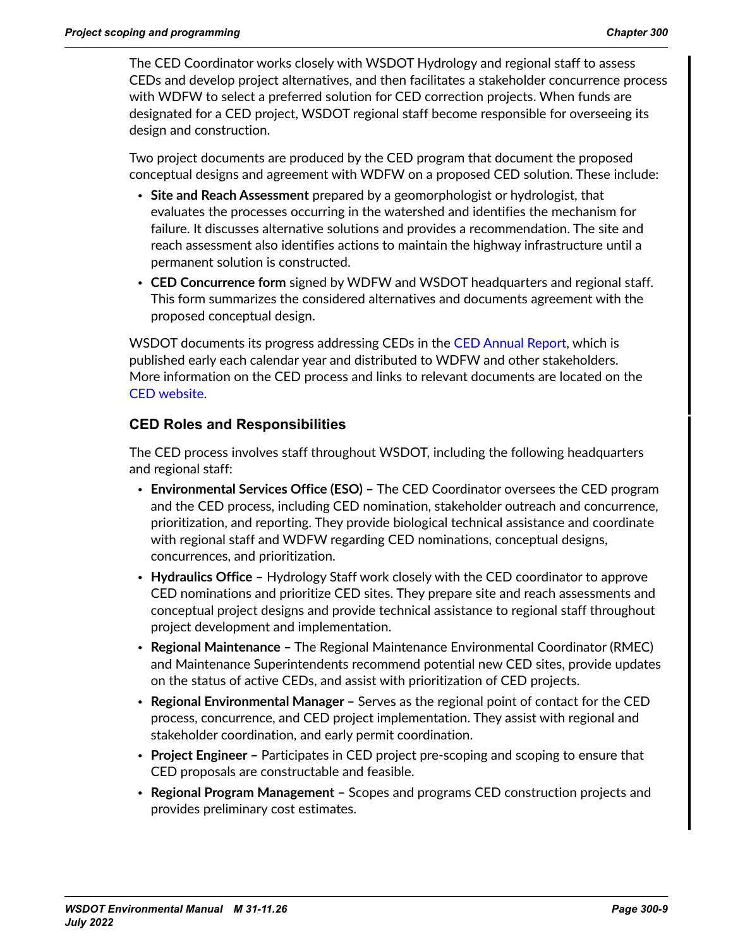The CED Coordinator works closely with WSDOT Hydrology and regional staff to assess CEDs and develop project alternatives, and then facilitates a stakeholder concurrence process with WDFW to select a preferred solution for CED correction projects. When funds are designated for a CED project, WSDOT regional staff become responsible for overseeing its design and construction.

Two project documents are produced by the CED program that document the proposed conceptual designs and agreement with WDFW on a proposed CED solution. These include:

- **Site and Reach Assessment** prepared by a geomorphologist or hydrologist, that evaluates the processes occurring in the watershed and identifies the mechanism for failure. It discusses alternative solutions and provides a recommendation. The site and reach assessment also identifies actions to maintain the highway infrastructure until a permanent solution is constructed.
- **CED Concurrence form** signed by WDFW and WSDOT headquarters and regional staff. This form summarizes the considered alternatives and documents agreement with the proposed conceptual design.

WSDOT documents its progress addressing CEDs in the [CED Annual Report](https://wsdot.wa.gov/sites/default/files/2021-10/Env-StrRest-CEDAnnualReport.pdf), which is published early each calendar year and distributed to WDFW and other stakeholders. More information on the CED process and links to relevant documents are located on the CED [website](https://wsdot.wa.gov/environment/technical/disciplines/stream-restoration/ced-policies-procedures).

### **CED Roles and Responsibilities**

The CED process involves staff throughout WSDOT, including the following headquarters and regional staff:

- **Environmental Services Office (ESO)** The CED Coordinator oversees the CED program and the CED process, including CED nomination, stakeholder outreach and concurrence, prioritization, and reporting. They provide biological technical assistance and coordinate with regional staff and WDFW regarding CED nominations, conceptual designs, concurrences, and prioritization.
- **Hydraulics Office –** Hydrology Staff work closely with the CED coordinator to approve CED nominations and prioritize CED sites. They prepare site and reach assessments and conceptual project designs and provide technical assistance to regional staff throughout project development and implementation.
- **Regional Maintenance –** The Regional Maintenance Environmental Coordinator (RMEC) and Maintenance Superintendents recommend potential new CED sites, provide updates on the status of active CEDs, and assist with prioritization of CED projects.
- **Regional Environmental Manager –** Serves as the regional point of contact for the CED process, concurrence, and CED project implementation. They assist with regional and stakeholder coordination, and early permit coordination.
- **Project Engineer –** Participates in CED project pre-scoping and scoping to ensure that CED proposals are constructable and feasible.
- **Regional Program Management –** Scopes and programs CED construction projects and provides preliminary cost estimates.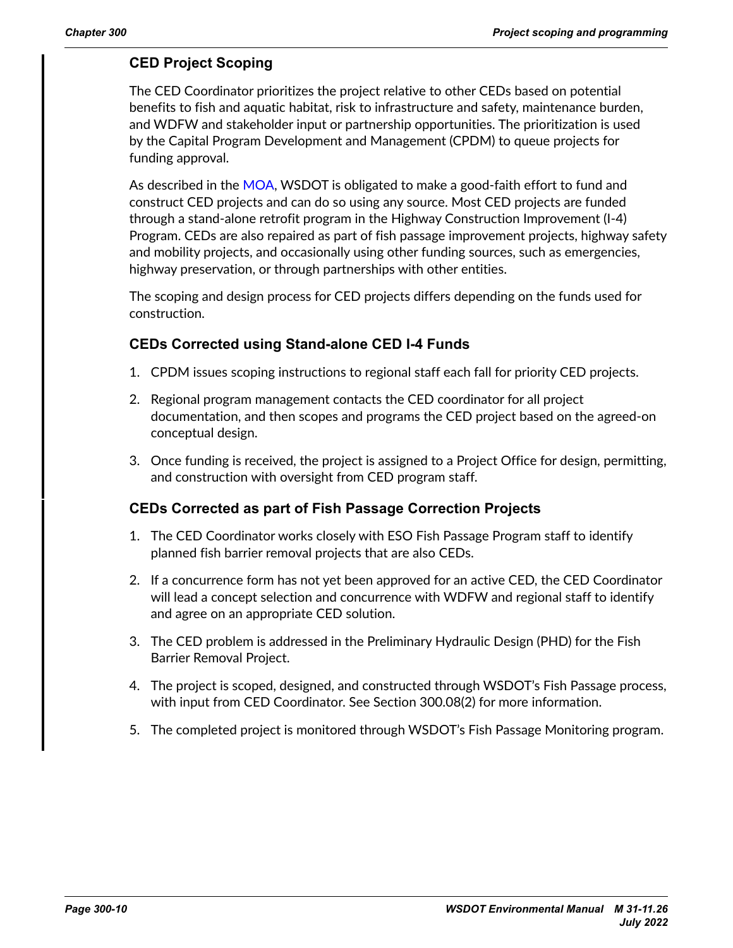### **CED Project Scoping**

The CED Coordinator prioritizes the project relative to other CEDs based on potential benefits to fish and aquatic habitat, risk to infrastructure and safety, maintenance burden, and WDFW and stakeholder input or partnership opportunities. The prioritization is used by the Capital Program Development and Management (CPDM) to queue projects for funding approval.

As described in the [MOA](https://www.wsdot.wa.gov/publications/manuals/fulltext/M31-11/agreements/WDFWWSDOTMOA.pdf), WSDOT is obligated to make a good-faith effort to fund and construct CED projects and can do so using any source. Most CED projects are funded through a stand-alone retrofit program in the Highway Construction Improvement (I-4) Program. CEDs are also repaired as part of fish passage improvement projects, highway safety and mobility projects, and occasionally using other funding sources, such as emergencies, highway preservation, or through partnerships with other entities.

The scoping and design process for CED projects differs depending on the funds used for construction.

#### **CEDs Corrected using Stand-alone CED I-4 Funds**

- 1. CPDM issues scoping instructions to regional staff each fall for priority CED projects.
- 2. Regional program management contacts the CED coordinator for all project documentation, and then scopes and programs the CED project based on the agreed-on conceptual design.
- 3. Once funding is received, the project is assigned to a Project Office for design, permitting, and construction with oversight from CED program staff.

#### **CEDs Corrected as part of Fish Passage Correction Projects**

- 1. The CED Coordinator works closely with ESO Fish Passage Program staff to identify planned fish barrier removal projects that are also CEDs.
- 2. If a concurrence form has not yet been approved for an active CED, the CED Coordinator will lead a concept selection and concurrence with WDFW and regional staff to identify and agree on an appropriate CED solution.
- 3. The CED problem is addressed in the Preliminary Hydraulic Design (PHD) for the Fish Barrier Removal Project.
- 4. The project is scoped, designed, and constructed through WSDOT's Fish Passage process, with input from CED Coordinator. See Section 300.08(2) for more information.
- 5. The completed project is monitored through WSDOT's Fish Passage Monitoring program.

*July 2022*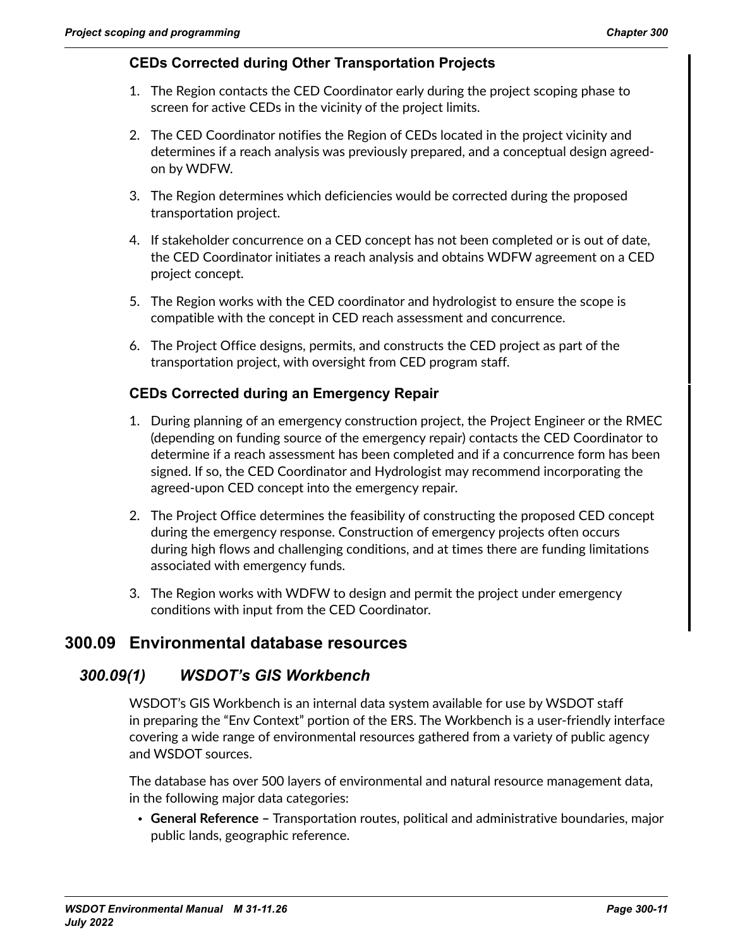### **CEDs Corrected during Other Transportation Projects**

- 1. The Region contacts the CED Coordinator early during the project scoping phase to screen for active CEDs in the vicinity of the project limits.
- 2. The CED Coordinator notifies the Region of CEDs located in the project vicinity and determines if a reach analysis was previously prepared, and a conceptual design agreedon by WDFW.
- 3. The Region determines which deficiencies would be corrected during the proposed transportation project.
- 4. If stakeholder concurrence on a CED concept has not been completed or is out of date, the CED Coordinator initiates a reach analysis and obtains WDFW agreement on a CED project concept.
- 5. The Region works with the CED coordinator and hydrologist to ensure the scope is compatible with the concept in CED reach assessment and concurrence.
- 6. The Project Office designs, permits, and constructs the CED project as part of the transportation project, with oversight from CED program staff.

### **CEDs Corrected during an Emergency Repair**

- 1. During planning of an emergency construction project, the Project Engineer or the RMEC (depending on funding source of the emergency repair) contacts the CED Coordinator to determine if a reach assessment has been completed and if a concurrence form has been signed. If so, the CED Coordinator and Hydrologist may recommend incorporating the agreed-upon CED concept into the emergency repair.
- 2. The Project Office determines the feasibility of constructing the proposed CED concept during the emergency response. Construction of emergency projects often occurs during high flows and challenging conditions, and at times there are funding limitations associated with emergency funds.
- 3. The Region works with WDFW to design and permit the project under emergency conditions with input from the CED Coordinator.

### **300.09 Environmental database resources**

### *300.09(1) WSDOT's GIS Workbench*

WSDOT's GIS Workbench is an internal data system available for use by WSDOT staff in preparing the "Env Context" portion of the ERS. The Workbench is a user-friendly interface covering a wide range of environmental resources gathered from a variety of public agency and WSDOT sources.

The database has over 500 layers of environmental and natural resource management data, in the following major data categories:

• **General Reference –** Transportation routes, political and administrative boundaries, major public lands, geographic reference.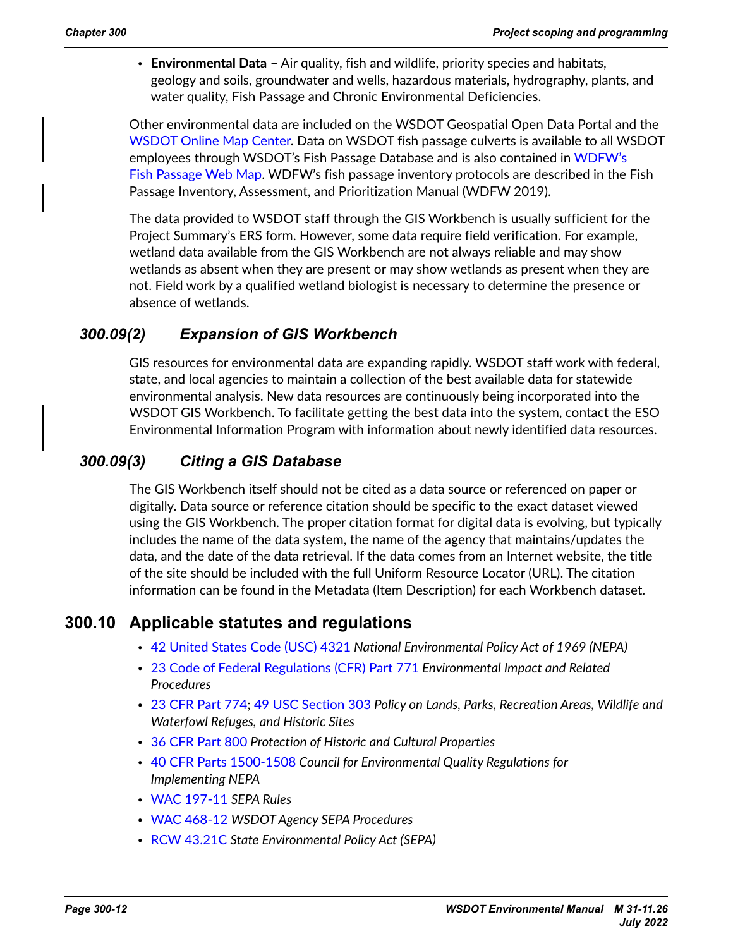<span id="page-11-0"></span>• **Environmental Data –** Air quality, fish and wildlife, priority species and habitats, geology and soils, groundwater and wells, hazardous materials, hydrography, plants, and water quality, Fish Passage and Chronic Environmental Deficiencies.

Other environmental data are included on the [WSDOT Geospatial Open Data Portal](https://gisdata-wsdot.opendata.arcgis.com/) and the [WSDOT Online Map Center.](https://wsdot.maps.arcgis.com/home/index.html) Data on WSDOT fish passage culverts is available to all WSDOT employees through WSDOT's Fish Passage Database and is also contained in [WDFW's](https://geodataservices.wdfw.wa.gov/hp/fishpassage/index.html)  [Fish Passage Web Map.](https://geodataservices.wdfw.wa.gov/hp/fishpassage/index.html) WDFW's fish passage inventory protocols are described in the Fish Passage Inventory, Assessment, and Prioritization Manual [\(WDFW 2019\)](https://wdfw.wa.gov/publications/02061).

The data provided to WSDOT staff through the GIS Workbench is usually sufficient for the Project Summary's ERS form. However, some data require field verification. For example, wetland data available from the GIS Workbench are not always reliable and may show wetlands as absent when they are present or may show wetlands as present when they are not. Field work by a qualified wetland biologist is necessary to determine the presence or absence of wetlands.

### *300.09(2) Expansion of GIS Workbench*

GIS resources for environmental data are expanding rapidly. WSDOT staff work with federal, state, and local agencies to maintain a collection of the best available data for statewide environmental analysis. New data resources are continuously being incorporated into the WSDOT GIS Workbench. To facilitate getting the best data into the system, contact the [ESO](https://wsdot.wa.gov/engineering-standards/design-topics/environment/environmental-services-contacts)  [Environmental Information Program](https://wsdot.wa.gov/engineering-standards/design-topics/environment/environmental-services-contacts) with information about newly identified data resources.

### *300.09(3) Citing a GIS Database*

The GIS Workbench itself should not be cited as a data source or referenced on paper or digitally. Data source or reference citation should be specific to the exact dataset viewed using the GIS Workbench. The proper citation format for digital data is evolving, but typically includes the name of the data system, the name of the agency that maintains/updates the data, and the date of the data retrieval. If the data comes from an Internet website, the title of the site should be included with the full Uniform Resource Locator (URL). The citation information can be found in the Metadata (Item Description) for each Workbench dataset.

### **300.10 Applicable statutes and regulations**

- [42 United States Code \(USC\) 4321](https://uscode.house.gov/view.xhtml?path=/prelim@title42/chapter55&edition=prelim) *National Environmental Policy Act of 1969 (NEPA)*
- [23 Code of Federal Regulations \(CFR\) Part 771](http://www.ecfr.gov/cgi-bin/text-idx?SID=66c2357046a4f03853decd134ae3566a&mc=true&node=pt23.1.771&rgn=div5) *Environmental Impact and Related Procedures*
- [23 CFR Part 774;](http://www.ecfr.gov/cgi-bin/text-idx?SID=66c2357046a4f03853decd134ae3566a&mc=true&node=pt23.1.774&rgn=div5) [49 USC Section 303](https://uscode.house.gov/view.xhtml?req=49+USC+303&f=treesort&fq=true&num=317&hl=true&edition=prelim&granuleId=USC-prelim-title49-section303) *Policy on Lands, Parks, Recreation Areas, Wildlife and Waterfowl Refuges, and Historic Sites*
- [36 CFR Part 800](http://www.ecfr.gov/cgi-bin/text-idx?SID=66c2357046a4f03853decd134ae3566a&mc=true&node=pt36.3.800&rgn=div5) *Protection of Historic and Cultural Properties*
- [40 CFR Parts 1500-1508](https://www.ecfr.gov/current/title-40/chapter-V/subchapter-A) *Council for Environmental Quality Regulations for Implementing NEPA*
- [WAC 197-11](http://apps.leg.wa.gov/WAC/default.aspx?cite=197-11) *SEPA Rules*
- [WAC 468-12](http://apps.leg.wa.gov/WAC/default.aspx?cite=468-12) *WSDOT Agency SEPA Procedures*
- [RCW 43.21C](http://apps.leg.wa.gov/RCW/default.aspx?cite=43.21C) *State Environmental Policy Act (SEPA)*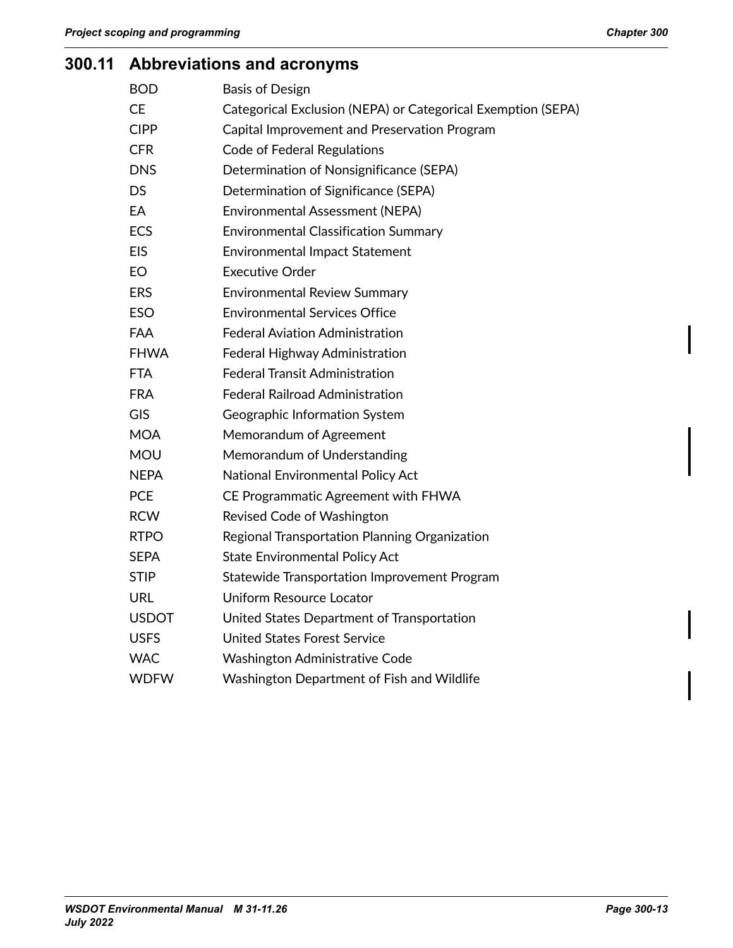# <span id="page-12-0"></span>**300.11 Abbreviations and acronyms**

| <b>BOD</b>   | <b>Basis of Design</b>                                       |
|--------------|--------------------------------------------------------------|
| <b>CE</b>    | Categorical Exclusion (NEPA) or Categorical Exemption (SEPA) |
| <b>CIPP</b>  | Capital Improvement and Preservation Program                 |
| <b>CFR</b>   | <b>Code of Federal Regulations</b>                           |
| <b>DNS</b>   | Determination of Nonsignificance (SEPA)                      |
| <b>DS</b>    | Determination of Significance (SEPA)                         |
| EA           | <b>Environmental Assessment (NEPA)</b>                       |
| <b>ECS</b>   | <b>Environmental Classification Summary</b>                  |
| <b>EIS</b>   | <b>Environmental Impact Statement</b>                        |
| <b>EO</b>    | <b>Executive Order</b>                                       |
| <b>ERS</b>   | <b>Environmental Review Summary</b>                          |
| <b>ESO</b>   | <b>Environmental Services Office</b>                         |
| FAA          | <b>Federal Aviation Administration</b>                       |
| <b>FHWA</b>  | Federal Highway Administration                               |
| <b>FTA</b>   | <b>Federal Transit Administration</b>                        |
| <b>FRA</b>   | <b>Federal Railroad Administration</b>                       |
| <b>GIS</b>   | Geographic Information System                                |
| <b>MOA</b>   | Memorandum of Agreement                                      |
| <b>MOU</b>   | Memorandum of Understanding                                  |
| <b>NEPA</b>  | National Environmental Policy Act                            |
| <b>PCE</b>   | CE Programmatic Agreement with FHWA                          |
| <b>RCW</b>   | Revised Code of Washington                                   |
| <b>RTPO</b>  | Regional Transportation Planning Organization                |
| <b>SEPA</b>  | <b>State Environmental Policy Act</b>                        |
| <b>STIP</b>  | Statewide Transportation Improvement Program                 |
| <b>URL</b>   | Uniform Resource Locator                                     |
| <b>USDOT</b> | United States Department of Transportation                   |
| <b>USFS</b>  | <b>United States Forest Service</b>                          |
| <b>WAC</b>   | <b>Washington Administrative Code</b>                        |
| <b>WDFW</b>  | Washington Department of Fish and Wildlife                   |